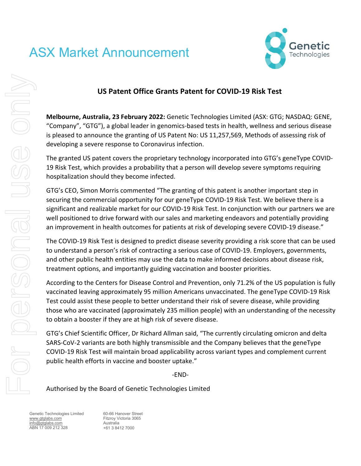# ASX Market Announcement



## **US Patent Office Grants Patent for COVID-19 Risk Test**

**Melbourne, Australia, 23 February 2022:** Genetic Technologies Limited (ASX: GTG; NASDAQ: GENE, "Company", "GTG"), a global leader in genomics-based tests in health, wellness and serious disease is pleased to announce the granting of US Patent No: US 11,257,569, Methods of assessing risk of developing a severe response to Coronavirus infection.

The granted US patent covers the proprietary technology incorporated into GTG's geneType COVID-19 Risk Test, which provides a probability that a person will develop severe symptoms requiring hospitalization should they become infected.

GTG's CEO, Simon Morris commented "The granting of this patent is another important step in securing the commercial opportunity for our geneType COVID-19 Risk Test. We believe there is a significant and realizable market for our COVID-19 Risk Test. In conjunction with our partners we are well positioned to drive forward with our sales and marketing endeavors and potentially providing an improvement in health outcomes for patients at risk of developing severe COVID-19 disease."

The COVID-19 Risk Test is designed to predict disease severity providing a risk score that can be used to understand a person's risk of contracting a serious case of COVID-19. Employers, governments, and other public health entities may use the data to make informed decisions about disease risk, treatment options, and importantly guiding vaccination and booster priorities.

According to the Centers for Disease Control and Prevention, only 71.2% of the US population is fully vaccinated leaving approximately 95 million Americans unvaccinated. The geneType COVID-19 Risk Test could assist these people to better understand their risk of severe disease, while providing those who are vaccinated (approximately 235 million people) with an understanding of the necessity to obtain a booster if they are at high risk of severe disease.

GTG's Chief Scientific Officer, Dr Richard Allman said, "The currently circulating omicron and delta SARS-CoV-2 variants are both highly transmissible and the Company believes that the geneType COVID-19 Risk Test will maintain broad applicability across variant types and complement current public health efforts in vaccine and booster uptake."

-END-

Authorised by the Board of Genetic Technologies Limited

Genetic Technologies Limited [www.gtglabs.com](http://www.gtglabs.com/) [info@gtglabs.com](mailto:info@gtglabs.com) ABN 17 009 212 328

60-66 Hanover Street Fitzroy Victoria 3065 Australia +61 3 8412 7000